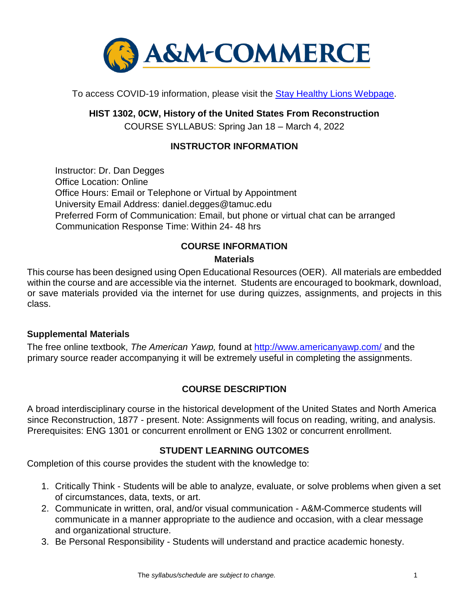

To access COVID-19 information, please visit the Stay Healthy Lions Webpage.

**HIST 1302, 0CW, History of the United States From Reconstruction** COURSE SYLLABUS: Spring Jan 18 – March 4, 2022

# **INSTRUCTOR INFORMATION**

Instructor: Dr. Dan Degges Office Location: Online Office Hours: Email or Telephone or Virtual by Appointment University Email Address: daniel.degges@tamuc.edu Preferred Form of Communication: Email, but phone or virtual chat can be arranged Communication Response Time: Within 24- 48 hrs

# **COURSE INFORMATION**

### **Materials**

This course has been designed using Open Educational Resources (OER). All materials are embedded within the course and are accessible via the internet. Students are encouraged to bookmark, download, or save materials provided via the internet for use during quizzes, assignments, and projects in this class.

### **Supplemental Materials**

The free online textbook, *The American Yawp,* found at<http://www.americanyawp.com/> [a](http://www.americanyawp.com/)nd the primary source reader accompanying it will be extremely useful in completing the assignments.

# **[COURSE DESCRIPTION](http://catalog.tamuc.edu/undergrad/colleges-and-departments/college-of-innovation-design/baas-organizational-leadership/?_ga=2.81546143.928332977.1616426723-584154711.1595512675)**

A broad interdisciplinary course in the historical development of the United States and North America since Reconstruction, 1877 - present. Note: Assignments will focus on reading, writing, and analysis. Prerequisites: ENG 1301 or concurrent enrollment or ENG 1302 or concurrent enrollment.

# **STUDENT LEARNING OUTCOMES**

Completion of this course provides the student with the knowledge to:

- 1. Critically Think Students will be able to analyze, evaluate, or solve problems when given a set of circumstances, data, texts, or art.
- 2. Communicate in written, oral, and/or visual communication A&M-Commerce students will communicate in a manner appropriate to the audience and occasion, with a clear message and organizational structure.
- 3. Be Personal Responsibility Students will understand and practice academic honesty.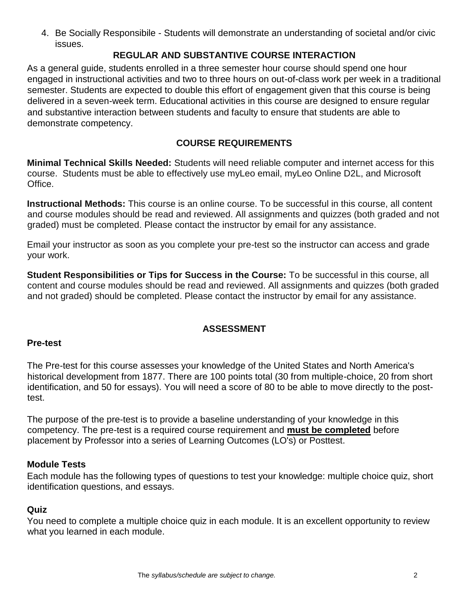4. Be Socially Responsibile - Students will demonstrate an understanding of societal and/or civic issues.

# **REGULAR AND SUBSTANTIVE COURSE INTERACTION**

As a general guide, students enrolled in a three semester hour course should spend one hour engaged in instructional activities and two to three hours on out-of-class work per week in a traditional semester. Students are expected to double this effort of engagement given that this course is being delivered in a seven-week term. Educational activities in this course are designed to ensure regular and substantive interaction between students and faculty to ensure that students are able to demonstrate competency.

# **COURSE REQUIREMENTS**

**Minimal Technical Skills Needed:** Students will need reliable computer and internet access for this course. Students must be able to effectively use myLeo email, myLeo Online D2L, and Microsoft Office.

**Instructional Methods:** This course is an online course. To be successful in this course, all content and course modules should be read and reviewed. All assignments and quizzes (both graded and not graded) must be completed. Please contact the instructor by email for any assistance.

Email your instructor as soon as you complete your pre-test so the instructor can access and grade your work.

**Student Responsibilities or Tips for Success in the Course:** To be successful in this course, all content and course modules should be read and reviewed. All assignments and quizzes (both graded and not graded) should be completed. Please contact the instructor by email for any assistance.

# **ASSESSMENT**

### **Pre-test**

The Pre-test for this course assesses your knowledge of the United States and North America's historical development from 1877. There are 100 points total (30 from multiple-choice, 20 from short identification, and 50 for essays). You will need a score of 80 to be able to move directly to the posttest.

The purpose of the pre-test is to provide a baseline understanding of your knowledge in this competency. The pre-test is a required course requirement and **must be completed** before placement by Professor into a series of Learning Outcomes (LO's) or Posttest.

### **Module Tests**

Each module has the following types of questions to test your knowledge: multiple choice quiz, short identification questions, and essays.

### **Quiz**

You need to complete a multiple choice quiz in each module. It is an excellent opportunity to review what you learned in each module.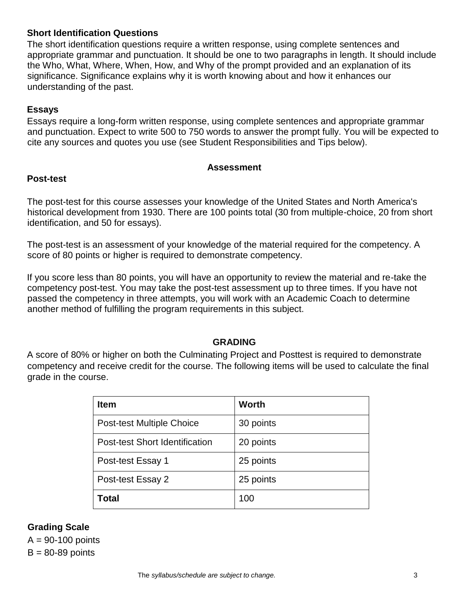### **Short Identification Questions**

The short identification questions require a written response, using complete sentences and appropriate grammar and punctuation. It should be one to two paragraphs in length. It should include the Who, What, Where, When, How, and Why of the prompt provided and an explanation of its significance. Significance explains why it is worth knowing about and how it enhances our understanding of the past.

#### **Essays**

Essays require a long-form written response, using complete sentences and appropriate grammar and punctuation. Expect to write 500 to 750 words to answer the prompt fully. You will be expected to cite any sources and quotes you use (see Student Responsibilities and Tips below).

#### **Assessment**

#### **Post-test**

The post-test for this course assesses your knowledge of the United States and North America's historical development from 1930. There are 100 points total (30 from multiple-choice, 20 from short identification, and 50 for essays).

The post-test is an assessment of your knowledge of the material required for the competency. A score of 80 points or higher is required to demonstrate competency.

If you score less than 80 points, you will have an opportunity to review the material and re-take the competency post-test. You may take the post-test assessment up to three times. If you have not passed the competency in three attempts, you will work with an Academic Coach to determine another method of fulfilling the program requirements in this subject.

### **GRADING**

A score of 80% or higher on both the Culminating Project and Posttest is required to demonstrate competency and receive credit for the course. The following items will be used to calculate the final grade in the course.

| <b>Item</b>                           | <b>Worth</b> |
|---------------------------------------|--------------|
| <b>Post-test Multiple Choice</b>      | 30 points    |
| <b>Post-test Short Identification</b> | 20 points    |
| Post-test Essay 1                     | 25 points    |
| Post-test Essay 2                     | 25 points    |
| Total                                 | 100          |

### **Grading Scale**

 $A = 90-100$  points  $B = 80 - 89$  points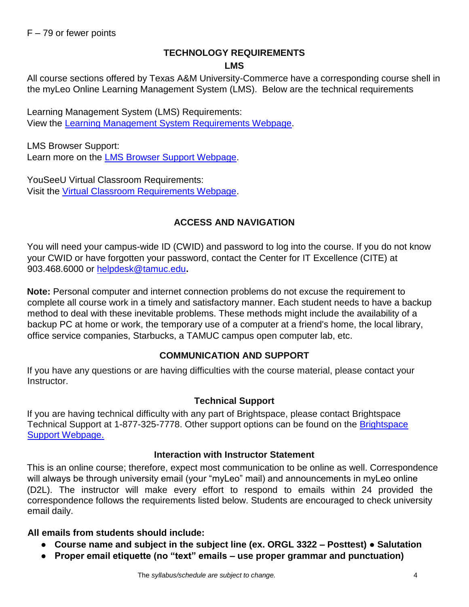# **TECHNOLOGY REQUIREMENTS LMS**

All course sections offered by Texas A&M University-Commerce have a corresponding course shell in the myLeo Online Learning Management System (LMS). Below are the technical requirements

Learning Management System (LMS) Requirements: View the [Learning Management System Requirements Webpage.](https://community.brightspace.com/s/article/Brightspace-Platform-Requirements) 

LMS Browser Support: Learn more on the [LMS Browser Support Webpage.](https://documentation.brightspace.com/EN/brightspace/requirements/all/browser_support.htm) 

YouSeeU Virtual Classroom Requirements: Visit the [Virtual Classroom Requirements Webpage.](https://support.youseeu.com/hc/en-us/articles/115007031107-Basic-System-Requirements) 

# **ACCESS AND NAVIGATION**

You will need your campus-wide ID (CWID) and password to log into the course. If you do not know your CWID or have forgotten your password, contact the Center for IT Excellence (CITE) at 903.468.6000 or helpdesk@tamuc.edu**.** 

**Note:** Personal computer and internet connection problems do not excuse the requirement to complete all course work in a timely and satisfactory manner. Each student needs to have a backup method to deal with these inevitable problems. These methods might include the availability of a backup PC at home or work, the temporary use of a computer at a friend's home, the local library, office service companies, Starbucks, a TAMUC campus open computer lab, etc.

# **COMMUNICATION AND SUPPORT**

If you have any questions or are having difficulties with the course material, please contact your Instructor.

### **Technical Support**

If you are having technical difficulty with any part of Brightspace, please contact Brightspace Technical Support at 1-877-325-7778. Other support options can be found on the [Brightspace](https://community.brightspace.com/support/s/contactsupport)  [Support Webpage.](https://community.brightspace.com/support/s/contactsupport)

### **Interaction with Instructor Statement**

This is an online course; therefore, expect most communication to be online as well. Correspondence will always be through university email (your "myLeo" mail) and announcements in myLeo online (D2L). The instructor will make every effort to respond to emails within 24 provided the correspondence follows the requirements listed below. Students are encouraged to check university email daily.

### **All emails from students should include:**

- **Course name and subject in the subject line (ex. ORGL 3322 – Posttest) Salutation**
- **Proper email etiquette (no "text" emails – use proper grammar and punctuation)**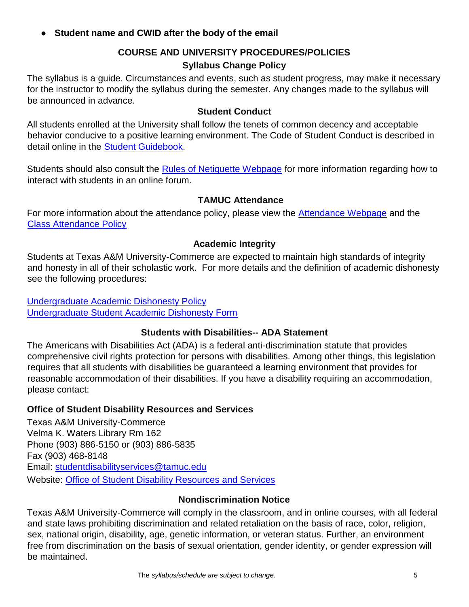**Student name and CWID after the body of the email** 

# **COURSE AND UNIVERSITY PROCEDURES/POLICIES Syllabus Change Policy**

The syllabus is a guide. Circumstances and events, such as student progress, may make it necessary for the instructor to modify the syllabus during the semester. Any changes made to the syllabus will be announced in advance.

### **Student Conduct**

All students enrolled at the University shall follow the tenets of common decency and acceptable behavior conducive to a positive learning environment. The Code of Student Conduct is described in detail online in the [Student Guidebook.](http://www.tamuc.edu/Admissions/oneStopShop/undergraduateAdmissions/studentGuidebook.aspx)

Students should also consult the [Rules of Netiquette Webpage](https://www.britannica.com/topic/netiquette) [f](https://www.britannica.com/topic/netiquette)or more information regarding how to interact with students in an online forum.

### **TAMUC Attendance**

For more information about the attendance policy, please view the **Attendance [Webpage](http://www.tamuc.edu/admissions/registrar/generalInformation/attendance.aspx)** and the [Class Attendance Policy](http://www.tamuc.edu/aboutUs/policiesProceduresStandardsStatements/rulesProcedures/13students/academic/13.99.99.R0.01.pdf)

# **Academic Integrity**

Students at Texas A&M University-Commerce are expected to maintain high standards of integrity and honesty in all of their scholastic work. For more details and the definition of academic dishonesty see the following procedures:

[Undergraduate Academic Dishonesty Po](http://www.tamuc.edu/aboutUs/policiesProceduresStandardsStatements/rulesProcedures/13students/undergraduates/13.99.99.R0.03UndergraduateAcademicDishonesty.pdf)licy [Undergraduate Student Academic Dishonesty Form](http://www.tamuc.edu/aboutUs/policiesProceduresStandardsStatements/rulesProcedures/documents/13.99.99.R0.03UndergraduateStudentAcademicDishonestyForm.pdf)

# **Students with Disabilities-- ADA Statement**

The Americans with Disabilities Act (ADA) is a federal anti-discrimination statute that provides comprehensive civil rights protection for persons with disabilities. Among other things, this legislation requires that all students with disabilities be guaranteed a learning environment that provides for reasonable accommodation of their disabilities. If you have a disability requiring an accommodation, please contact:

# **Office of Student Disability Resources and Services**

Texas A&M University-Commerce Velma K. Waters Library Rm 162 Phone (903) 886-5150 or (903) 886-5835 Fax (903) 468-8148 Email: studentdisabilityservices@tamuc.edu Website: [Office of Student Disability Resources and Services](http://www.tamuc.edu/campusLife/campusServices/studentDisabilityResourcesAndServices/)

### **Nondiscrimination Notice**

Texas A&M University-Commerce will comply in the classroom, and in online courses, with all federal and state laws prohibiting discrimination and related retaliation on the basis of race, color, religion, sex, national origin, disability, age, genetic information, or veteran status. Further, an environment free from discrimination on the basis of sexual orientation, gender identity, or gender expression will be maintained.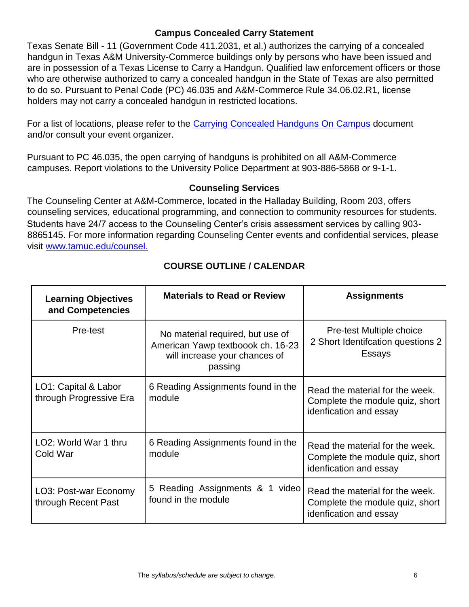### **Campus Concealed Carry Statement**

Texas Senate Bill - 11 (Government Code 411.2031, et al.) authorizes the carrying of a concealed handgun in Texas A&M University-Commerce buildings only by persons who have been issued and are in possession of a Texas License to Carry a Handgun. Qualified law enforcement officers or those who are otherwise authorized to carry a concealed handgun in the State of Texas are also permitted to do so. Pursuant to Penal Code (PC) 46.035 and A&M-Commerce Rule 34.06.02.R1, license holders may not carry a concealed handgun in restricted locations.

For a list of locations, please refer to the [Carrying Concealed Handguns On Campus](http://www.tamuc.edu/aboutUs/policiesProceduresStandardsStatements/rulesProcedures/34SafetyOfEmployeesAndStudents/34.06.02.R1.pdf) document and/or consult your event organizer.

Pursuant to PC 46.035, the open carrying of handguns is prohibited on all A&M-Commerce campuses. Report violations to the University Police Department at 903-886-5868 or 9-1-1.

# **Counseling Services**

The Counseling Center at A&M-Commerce, located in the Halladay Building, Room 203, offers counseling services, educational programming, and connection to community resources for students. Students have 24/7 access to the Counseling Center's crisis assessment services by calling 903- 8865145. For more information regarding Counseling Center events and confidential services, please visit [www.tamuc.edu/counsel.](http://www.tamuc.edu/counsel)

| <b>Learning Objectives</b><br>and Competencies  | <b>Materials to Read or Review</b>                                                                                | <b>Assignments</b>                                                                           |
|-------------------------------------------------|-------------------------------------------------------------------------------------------------------------------|----------------------------------------------------------------------------------------------|
| Pre-test                                        | No material required, but use of<br>American Yawp textboook ch. 16-23<br>will increase your chances of<br>passing | Pre-test Multiple choice<br>2 Short Identifcation questions 2<br>Essays                      |
| LO1: Capital & Labor<br>through Progressive Era | 6 Reading Assignments found in the<br>module                                                                      | Read the material for the week.<br>Complete the module quiz, short<br>idenfication and essay |
| LO <sub>2</sub> : World War 1 thru<br>Cold War  | 6 Reading Assignments found in the<br>module                                                                      | Read the material for the week.<br>Complete the module quiz, short<br>idenfication and essay |
| LO3: Post-war Economy<br>through Recent Past    | 5 Reading Assignments & 1 video<br>found in the module                                                            | Read the material for the week.<br>Complete the module quiz, short<br>idenfication and essay |

# **COURSE OUTLINE / CALENDAR**